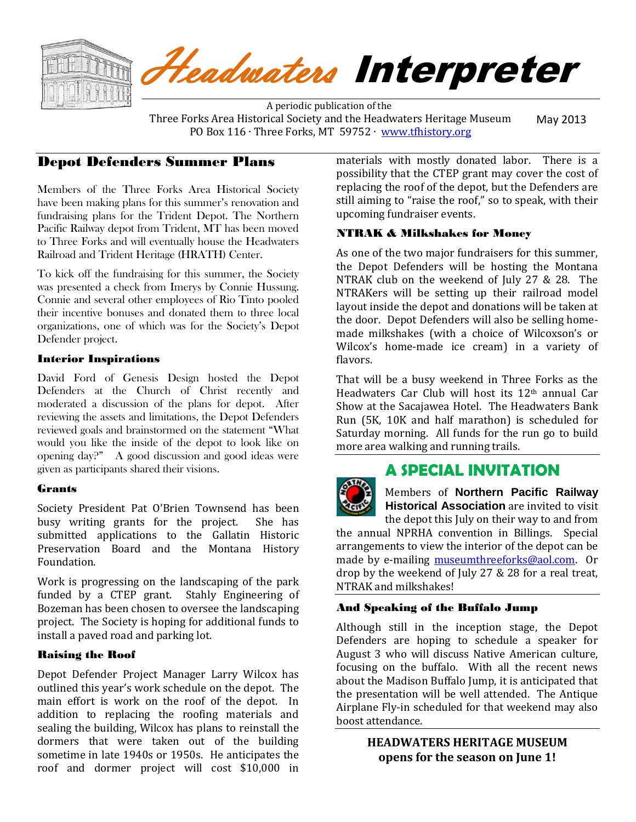

# Headwaters Interpreter

 A periodic publication of the Three Forks Area Historical Society and the Headwaters Heritage Museum PO Box 116 ⋅ Three Forks, MT 59752 ⋅ [www.tfhistory.org](http://www.tfhistory.org/) May 2013

## Depot Defenders Summer Plans

Members of the Three Forks Area Historical Society have been making plans for this summer's renovation and fundraising plans for the Trident Depot. The Northern Pacific Railway depot from Trident, MT has been moved to Three Forks and will eventually house the Headwaters Railroad and Trident Heritage (HRATH) Center.

To kick off the fundraising for this summer, the Society was presented a check from Imerys by Connie Hussung. Connie and several other employees of Rio Tinto pooled their incentive bonuses and donated them to three local organizations, one of which was for the Society's Depot Defender project.

#### Interior Inspirations

David Ford of Genesis Design hosted the Depot Defenders at the Church of Christ recently and moderated a discussion of the plans for depot. After reviewing the assets and limitations, the Depot Defenders reviewed goals and brainstormed on the statement "What would you like the inside of the depot to look like on opening day?" A good discussion and good ideas were given as participants shared their visions.

## Grants

Society President Pat O'Brien Townsend has been busy writing grants for the project. She has submitted applications to the Gallatin Historic Preservation Board and the Montana History Foundation.

Work is progressing on the landscaping of the park funded by a CTEP grant. Stahly Engineering of Bozeman has been chosen to oversee the landscaping project. The Society is hoping for additional funds to install a paved road and parking lot.

#### Raising the Roof

Depot Defender Project Manager Larry Wilcox has outlined this year's work schedule on the depot. The main effort is work on the roof of the depot. In addition to replacing the roofing materials and sealing the building, Wilcox has plans to reinstall the dormers that were taken out of the building sometime in late 1940s or 1950s. He anticipates the roof and dormer project will cost \$10,000 in

materials with mostly donated labor. There is a possibility that the CTEP grant may cover the cost of replacing the roof of the depot, but the Defenders are still aiming to "raise the roof," so to speak, with their upcoming fundraiser events.

#### NTRAK & Milkshakes for Money

As one of the two major fundraisers for this summer, the Depot Defenders will be hosting the Montana NTRAK club on the weekend of July 27 & 28. The NTRAKers will be setting up their railroad model layout inside the depot and donations will be taken at the door. Depot Defenders will also be selling homemade milkshakes (with a choice of Wilcoxson's or Wilcox's home-made ice cream) in a variety of flavors.

That will be a busy weekend in Three Forks as the Headwaters Car Club will host its 12th annual Car Show at the Sacajawea Hotel. The Headwaters Bank Run (5K, 10K and half marathon) is scheduled for Saturday morning. All funds for the run go to build more area walking and running trails.

# **A SPECIAL INVITATION**

Members of **Northern Pacific Railway Historical Association** are invited to visit

the depot this July on their way to and from the annual NPRHA convention in Billings. Special arrangements to view the interior of the depot can be made by e-mailing [museumthreeforks@aol.com.](mailto:museumthreeforks@aol.com) Or drop by the weekend of July 27 & 28 for a real treat, NTRAK and milkshakes!

## And Speaking of the Buffalo Jump

Although still in the inception stage, the Depot Defenders are hoping to schedule a speaker for August 3 who will discuss Native American culture, focusing on the buffalo. With all the recent news about the Madison Buffalo Jump, it is anticipated that the presentation will be well attended. The Antique Airplane Fly-in scheduled for that weekend may also boost attendance.

> **HEADWATERS HERITAGE MUSEUM opens for the season on June 1!**